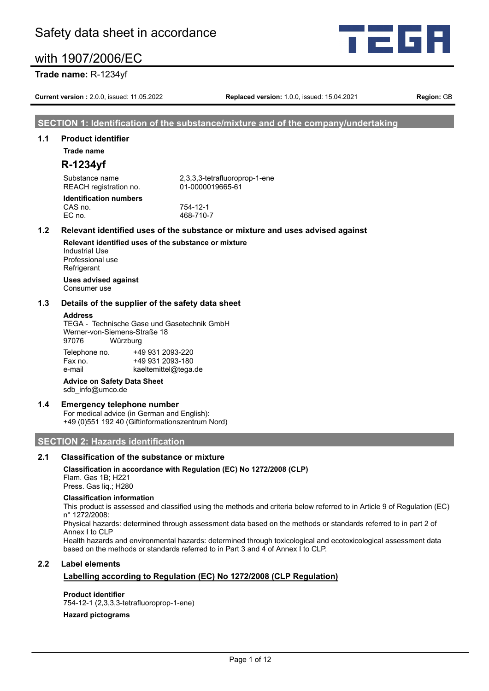



# **Trade name:** R-1234yf

**Current version :** 2.0.0, issued: 11.05.2022 **Replaced version:** 1.0.0, issued: 15.04.2021 **Region:** GB

# **SECTION 1: Identification of the substance/mixture and of the company/undertaking**

# **1.1 Product identifier**

**Trade name**

# **R-1234yf**

Substance name 2,3,3,3-tetrafluoroprop-1-ene REACH registration no. 01-0000019665-61 **Identification numbers** CAS no. 754-12-1

EC no. 468-710-7

## **1.2 Relevant identified uses of the substance or mixture and uses advised against**

**Relevant identified uses of the substance or mixture** Industrial Use Professional use **Refrigerant Uses advised against**

Consumer use

# **1.3 Details of the supplier of the safety data sheet**

#### **Address**

TEGA - Technische Gase und Gasetechnik GmbH Werner-von-Siemens-Straße 18 97076 Würzburg

| Telephone no. | +49 931 2093-220     |
|---------------|----------------------|
| Fax no.       | +49 931 2093-180     |
| e-mail        | kaeltemittel@tega.de |

# **Advice on Safety Data Sheet**

sdb\_info@umco.de

## **1.4 Emergency telephone number**

For medical advice (in German and English): +49 (0)551 192 40 (Giftinformationszentrum Nord)

# **SECTION 2: Hazards identification**

# **2.1 Classification of the substance or mixture**

# **Classification in accordance with Regulation (EC) No 1272/2008 (CLP)**

Flam. Gas 1B; H221 Press. Gas liq.; H280

#### **Classification information**

This product is assessed and classified using the methods and criteria below referred to in Article 9 of Regulation (EC) n° 1272/2008:

Physical hazards: determined through assessment data based on the methods or standards referred to in part 2 of Annex I to CLP

Health hazards and environmental hazards: determined through toxicological and ecotoxicological assessment data based on the methods or standards referred to in Part 3 and 4 of Annex I to CLP.

## **2.2 Label elements**

# **Labelling according to Regulation (EC) No 1272/2008 (CLP Regulation)**

**Product identifier**

754-12-1 (2,3,3,3-tetrafluoroprop-1-ene)

#### **Hazard pictograms**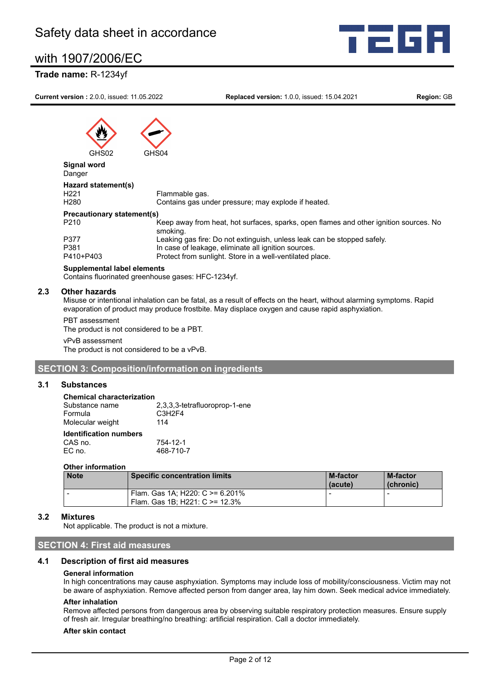# **Trade name:** R-1234yf



**Current version :** 2.0.0, issued: 11.05.2022 **Replaced version:** 1.0.0, issued: 15.04.2021 **Region:** GB

# GHS02

**Signal word**

| Signal word<br>Danger                   |                                                                                                   |
|-----------------------------------------|---------------------------------------------------------------------------------------------------|
| Hazard statement(s)<br>H <sub>221</sub> | Flammable gas.                                                                                    |
| H <sub>280</sub>                        | Contains gas under pressure; may explode if heated.                                               |
| <b>Precautionary statement(s)</b>       |                                                                                                   |
| P <sub>210</sub>                        | Keep away from heat, hot surfaces, sparks, open flames and other ignition sources. No<br>smoking. |
| P377                                    | Leaking gas fire: Do not extinguish, unless leak can be stopped safely.                           |
| P381                                    | In case of leakage, eliminate all ignition sources.                                               |
| P410+P403                               | Protect from sunlight. Store in a well-ventilated place.                                          |

#### **Supplemental label elements**

Contains fluorinated greenhouse gases: HFC-1234yf.

# **2.3 Other hazards**

Misuse or intentional inhalation can be fatal, as a result of effects on the heart, without alarming symptoms. Rapid evaporation of product may produce frostbite. May displace oxygen and cause rapid asphyxiation.

PBT assessment The product is not considered to be a PBT.

vPvB assessment

The product is not considered to be a vPvB.

# **SECTION 3: Composition/information on ingredients**

## **3.1 Substances**

#### **Chemical characterization**

| Substance name                           | 2,3,3,3-tetrafluoroprop-1-ene   |
|------------------------------------------|---------------------------------|
| Formula                                  | C <sub>3</sub> H <sub>2F4</sub> |
| Molecular weight                         | 114                             |
| <b>Identification numbers</b><br>CAS no. | 754-12-1                        |

#### **Other information**

| <b>Note</b> | <b>Specific concentration limits</b>                                  | <b>M-factor</b><br>(acute) | <b>M-factor</b><br>(chronic) |
|-------------|-----------------------------------------------------------------------|----------------------------|------------------------------|
|             | Flam. Gas 1A; H220: C $> = 6.201\%$<br>Flam. Gas 1B: H221: C >= 12.3% |                            |                              |

# **3.2 Mixtures**

Not applicable. The product is not a mixture.

EC no. 468-710-7

# **SECTION 4: First aid measures**

# **4.1 Description of first aid measures**

#### **General information**

In high concentrations may cause asphyxiation. Symptoms may include loss of mobility/consciousness. Victim may not be aware of asphyxiation. Remove affected person from danger area, lay him down. Seek medical advice immediately.

#### **After inhalation**

Remove affected persons from dangerous area by observing suitable respiratory protection measures. Ensure supply of fresh air. Irregular breathing/no breathing: artificial respiration. Call a doctor immediately.

#### **After skin contact**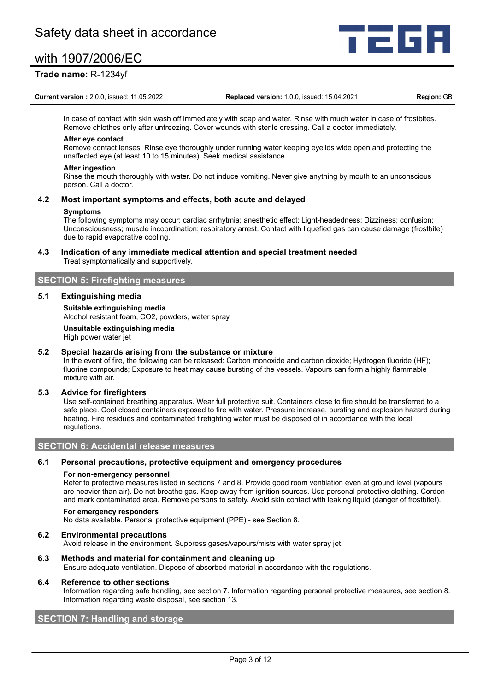# **Trade name:** R-1234yf

**Current version :** 2.0.0, issued: 11.05.2022 **Replaced version:** 1.0.0, issued: 15.04.2021 **Region:** GB

l Gr

In case of contact with skin wash off immediately with soap and water. Rinse with much water in case of frostbites. Remove chlothes only after unfreezing. Cover wounds with sterile dressing. Call a doctor immediately.

#### **After eye contact**

Remove contact lenses. Rinse eye thoroughly under running water keeping eyelids wide open and protecting the unaffected eye (at least 10 to 15 minutes). Seek medical assistance.

#### **After ingestion**

Rinse the mouth thoroughly with water. Do not induce vomiting. Never give anything by mouth to an unconscious person. Call a doctor.

#### **4.2 Most important symptoms and effects, both acute and delayed**

#### **Symptoms**

The following symptoms may occur: cardiac arrhytmia; anesthetic effect; Light-headedness; Dizziness; confusion; Unconsciousness; muscle incoordination; respiratory arrest. Contact with liquefied gas can cause damage (frostbite) due to rapid evaporative cooling.

#### **4.3 Indication of any immediate medical attention and special treatment needed** Treat symptomatically and supportively.

## **SECTION 5: Firefighting measures**

#### **5.1 Extinguishing media**

**Suitable extinguishing media** Alcohol resistant foam, CO2, powders, water spray

**Unsuitable extinguishing media** High power water jet

## **5.2 Special hazards arising from the substance or mixture**

In the event of fire, the following can be released: Carbon monoxide and carbon dioxide; Hydrogen fluoride (HF); fluorine compounds; Exposure to heat may cause bursting of the vessels. Vapours can form a highly flammable mixture with air.

## **5.3 Advice for firefighters**

Use self-contained breathing apparatus. Wear full protective suit. Containers close to fire should be transferred to a safe place. Cool closed containers exposed to fire with water. Pressure increase, bursting and explosion hazard during heating. Fire residues and contaminated firefighting water must be disposed of in accordance with the local regulations.

# **SECTION 6: Accidental release measures**

#### **6.1 Personal precautions, protective equipment and emergency procedures**

#### **For non-emergency personnel**

Refer to protective measures listed in sections 7 and 8. Provide good room ventilation even at ground level (vapours are heavier than air). Do not breathe gas. Keep away from ignition sources. Use personal protective clothing. Cordon and mark contaminated area. Remove persons to safety. Avoid skin contact with leaking liquid (danger of frostbite!).

#### **For emergency responders**

No data available. Personal protective equipment (PPE) - see Section 8.

#### **6.2 Environmental precautions**

Avoid release in the environment. Suppress gases/vapours/mists with water spray jet.

#### **6.3 Methods and material for containment and cleaning up**

Ensure adequate ventilation. Dispose of absorbed material in accordance with the regulations.

#### **6.4 Reference to other sections**

Information regarding safe handling, see section 7. Information regarding personal protective measures, see section 8. Information regarding waste disposal, see section 13.

# **SECTION 7: Handling and storage**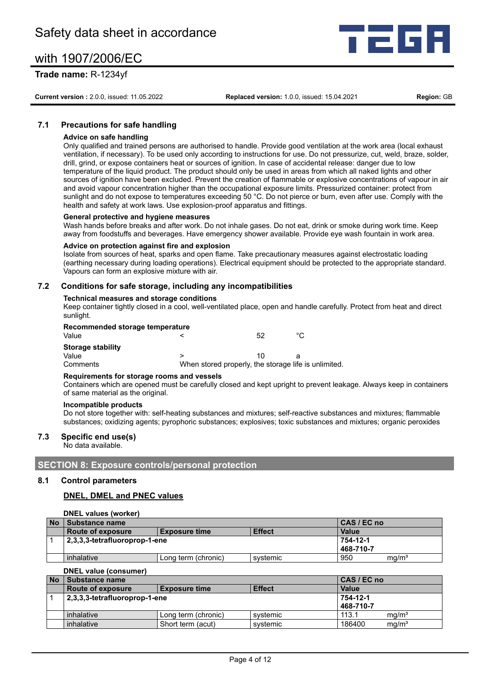# **Trade name:** R-1234yf

**Current version :** 2.0.0, issued: 11.05.2022 **Replaced version:** 1.0.0, issued: 15.04.2021 **Region:** GB

# **7.1 Precautions for safe handling**

#### **Advice on safe handling**

Only qualified and trained persons are authorised to handle. Provide good ventilation at the work area (local exhaust ventilation, if necessary). To be used only according to instructions for use. Do not pressurize, cut, weld, braze, solder, drill, grind, or expose containers heat or sources of ignition. In case of accidental release: danger due to low temperature of the liquid product. The product should only be used in areas from which all naked lights and other sources of ignition have been excluded. Prevent the creation of flammable or explosive concentrations of vapour in air and avoid vapour concentration higher than the occupational exposure limits. Pressurized container: protect from sunlight and do not expose to temperatures exceeding 50 °C. Do not pierce or burn, even after use. Comply with the health and safety at work laws. Use explosion-proof apparatus and fittings.

#### **General protective and hygiene measures**

Wash hands before breaks and after work. Do not inhale gases. Do not eat, drink or smoke during work time. Keep away from foodstuffs and beverages. Have emergency shower available. Provide eye wash fountain in work area.

#### **Advice on protection against fire and explosion**

Isolate from sources of heat, sparks and open flame. Take precautionary measures against electrostatic loading (earthing necessary during loading operations). Electrical equipment should be protected to the appropriate standard. Vapours can form an explosive mixture with air.

#### **7.2 Conditions for safe storage, including any incompatibilities**

#### **Technical measures and storage conditions**

Keep container tightly closed in a cool, well-ventilated place, open and handle carefully. Protect from heat and direct sunlight.

| Recommended storage temperature |  |  |  |
|---------------------------------|--|--|--|
|---------------------------------|--|--|--|

| Value             |  |                                                      | 52 |  |
|-------------------|--|------------------------------------------------------|----|--|
| Storage stability |  |                                                      |    |  |
| Value             |  |                                                      |    |  |
| Comments          |  | When stored properly, the storage life is unlimited. |    |  |

#### **Requirements for storage rooms and vessels**

Containers which are opened must be carefully closed and kept upright to prevent leakage. Always keep in containers of same material as the original.

#### **Incompatible products**

Do not store together with: self-heating substances and mixtures; self-reactive substances and mixtures; flammable substances; oxidizing agents; pyrophoric substances; explosives; toxic substances and mixtures; organic peroxides

# **7.3 Specific end use(s)**

No data available.

**SECTION 8: Exposure controls/personal protection**

#### **8.1 Control parameters**

#### **DNEL, DMEL and PNEC values**

|           | DNEL values (worker)          |                       |          |     |                   |  |  |  |
|-----------|-------------------------------|-----------------------|----------|-----|-------------------|--|--|--|
| <b>No</b> | Substance name                | CAS / EC no           |          |     |                   |  |  |  |
|           | <b>Route of exposure</b>      | Value                 |          |     |                   |  |  |  |
|           | 2,3,3,3-tetrafluoroprop-1-ene | 754-12-1              |          |     |                   |  |  |  |
|           |                               | 468-710-7             |          |     |                   |  |  |  |
|           | inhalative                    | " Long term (chronic) | svstemic | 950 | mg/m <sup>3</sup> |  |  |  |

**DNEL value (consumer)**

| <b>No</b> | Substance name                                             |                     |          |        | CAS / EC no       |  |
|-----------|------------------------------------------------------------|---------------------|----------|--------|-------------------|--|
|           | <b>Effect</b><br>Route of exposure<br><b>Exposure time</b> |                     |          |        |                   |  |
|           | 2,3,3,3-tetrafluoroprop-1-ene                              |                     |          |        | 754-12-1          |  |
|           |                                                            |                     |          |        |                   |  |
|           | inhalative                                                 | Long term (chronic) | svstemic | 113.1  | ma/m <sup>3</sup> |  |
|           | inhalative                                                 | Short term (acut)   | svstemic | 186400 | ma/m <sup>3</sup> |  |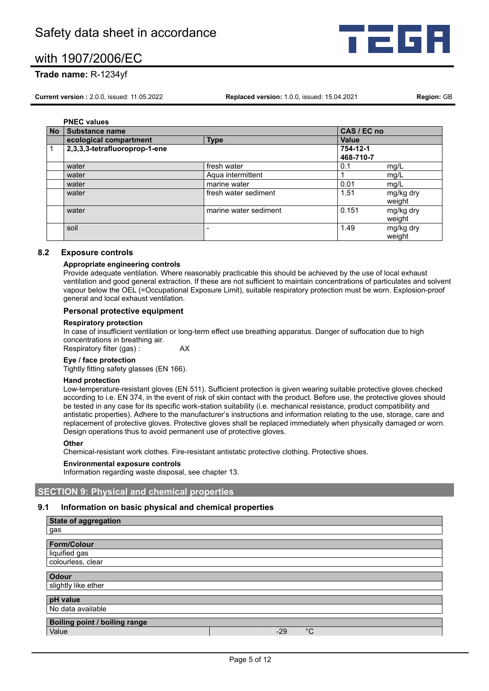

# **Trade name:** R-1234yf

**Current version :** 2.0.0, issued: 11.05.2022 **Replaced version:** 1.0.0, issued: 15.04.2021 **Region:** GB

**PNEC values No Substance name CAS / EC no ecological compartment Type Value** 1 **2,3,3,3-tetrafluoroprop-1-ene 754-12-1 468-710-7** water **fresh water fresh water 1.1 mg/L** water **Account Aqua intermittent** 1 mg/L mg/L mg/L water marine water marine water  $|0.01$  mg/L water fresh water sediment 1.51 mg/kg dry weight water marine water sediment and marine water sediment and the distribution of the marine water sediment and  $\sim$  0.151 mg/kg dry weight soil - 1.49 mg/kg dry - 1.49 mg/kg dry - 1.49 mg/kg dry - 1.49 mg/kg dry - 1.49 mg/kg dry - 1.49 mg/kg dry - 1 weight

# **8.2 Exposure controls**

#### **Appropriate engineering controls**

Provide adequate ventilation. Where reasonably practicable this should be achieved by the use of local exhaust ventilation and good general extraction. If these are not sufficient to maintain concentrations of particulates and solvent vapour below the OEL (=Occupational Exposure Limit), suitable respiratory protection must be worn. Explosion-proof general and local exhaust ventilation.

## **Personal protective equipment**

#### **Respiratory protection**

In case of insufficient ventilation or long-term effect use breathing apparatus. Danger of suffocation due to high concentrations in breathing air.

Respiratory filter (gas) : **AX** 

#### **Eye / face protection**

Tightly fitting safety glasses (EN 166).

#### **Hand protection**

Low-temperature-resistant gloves (EN 511). Sufficient protection is given wearing suitable protective gloves checked according to i.e. EN 374, in the event of risk of skin contact with the product. Before use, the protective gloves should be tested in any case for its specific work-station suitability (i.e. mechanical resistance, product compatibility and antistatic properties). Adhere to the manufacturer's instructions and information relating to the use, storage, care and replacement of protective gloves. Protective gloves shall be replaced immediately when physically damaged or worn. Design operations thus to avoid permanent use of protective gloves.

#### **Other**

Chemical-resistant work clothes. Fire-resistant antistatic protective clothing. Protective shoes.

#### **Environmental exposure controls**

Information regarding waste disposal, see chapter 13.

# **SECTION 9: Physical and chemical properties**

# **9.1 Information on basic physical and chemical properties**

| State of aggregation          |                      |
|-------------------------------|----------------------|
| gas                           |                      |
|                               |                      |
| <b>Form/Colour</b>            |                      |
| liquified gas                 |                      |
| colourless, clear             |                      |
|                               |                      |
| <b>Odour</b>                  |                      |
| slightly like ether           |                      |
|                               |                      |
| pH value                      |                      |
| No data available             |                      |
| Boiling point / boiling range |                      |
|                               |                      |
| Value                         | $^{\circ}C$<br>$-29$ |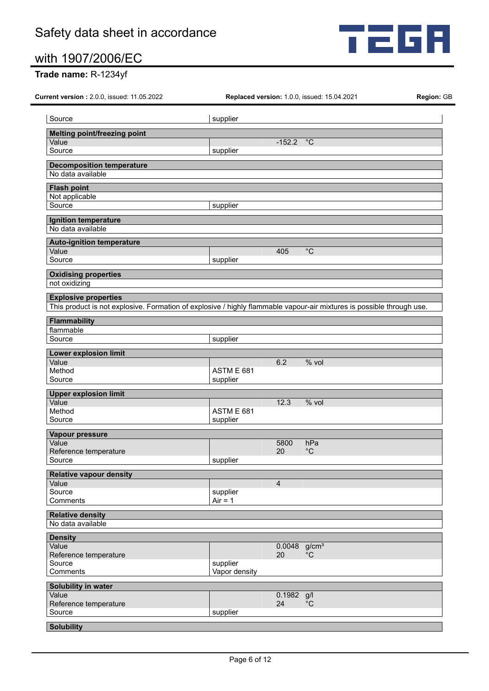

# **Trade name:** R-1234yf

**Current version :** 2.0.0, issued: 11.05.2022 **Replaced version:** 1.0.0, issued: 15.04.2021 **Region:** GB

| Source                                                                                                                                               | supplier                  |                |                    |
|------------------------------------------------------------------------------------------------------------------------------------------------------|---------------------------|----------------|--------------------|
| <b>Melting point/freezing point</b>                                                                                                                  |                           |                |                    |
| Value                                                                                                                                                |                           | $-152.2$       | $^{\circ}C$        |
| Source                                                                                                                                               | supplier                  |                |                    |
| <b>Decomposition temperature</b>                                                                                                                     |                           |                |                    |
| No data available                                                                                                                                    |                           |                |                    |
| <b>Flash point</b>                                                                                                                                   |                           |                |                    |
| Not applicable                                                                                                                                       |                           |                |                    |
| Source                                                                                                                                               | supplier                  |                |                    |
| Ignition temperature                                                                                                                                 |                           |                |                    |
| No data available                                                                                                                                    |                           |                |                    |
| <b>Auto-ignition temperature</b>                                                                                                                     |                           |                |                    |
| Value                                                                                                                                                |                           | 405            | $^{\circ}C$        |
| Source                                                                                                                                               | supplier                  |                |                    |
| <b>Oxidising properties</b>                                                                                                                          |                           |                |                    |
| not oxidizing                                                                                                                                        |                           |                |                    |
|                                                                                                                                                      |                           |                |                    |
| <b>Explosive properties</b><br>This product is not explosive. Formation of explosive / highly flammable vapour-air mixtures is possible through use. |                           |                |                    |
|                                                                                                                                                      |                           |                |                    |
| <b>Flammability</b>                                                                                                                                  |                           |                |                    |
| flammable                                                                                                                                            |                           |                |                    |
| Source                                                                                                                                               | supplier                  |                |                    |
| <b>Lower explosion limit</b>                                                                                                                         |                           |                |                    |
| Value                                                                                                                                                |                           | 6.2            | % vol              |
| Method<br>Source                                                                                                                                     | ASTM E 681<br>supplier    |                |                    |
|                                                                                                                                                      |                           |                |                    |
| <b>Upper explosion limit</b><br>Value                                                                                                                |                           | 12.3           | % vol              |
| Method                                                                                                                                               | ASTM E 681                |                |                    |
| Source                                                                                                                                               | supplier                  |                |                    |
| Vapour pressure                                                                                                                                      |                           |                |                    |
| Value                                                                                                                                                |                           | 5800           | hPa                |
| Reference temperature                                                                                                                                |                           | 20             | $^{\circ}C$        |
| Source                                                                                                                                               | supplier                  |                |                    |
| <b>Relative vapour density</b>                                                                                                                       |                           |                |                    |
| Value                                                                                                                                                |                           | $\overline{4}$ |                    |
| Source                                                                                                                                               | supplier                  |                |                    |
| Comments                                                                                                                                             | $Air = 1$                 |                |                    |
| <b>Relative density</b>                                                                                                                              |                           |                |                    |
| No data available                                                                                                                                    |                           |                |                    |
| <b>Density</b>                                                                                                                                       |                           |                |                    |
| Value                                                                                                                                                |                           | 0.0048         | g/cm <sup>3</sup>  |
| Reference temperature                                                                                                                                |                           | 20             | $^{\circ}$ C       |
| Source<br>Comments                                                                                                                                   | supplier<br>Vapor density |                |                    |
|                                                                                                                                                      |                           |                |                    |
| Solubility in water                                                                                                                                  |                           |                |                    |
| Value<br>Reference temperature                                                                                                                       |                           | 0.1982<br>24   | g/l<br>$^{\circ}C$ |
| Source                                                                                                                                               | supplier                  |                |                    |
|                                                                                                                                                      |                           |                |                    |
| <b>Solubility</b>                                                                                                                                    |                           |                |                    |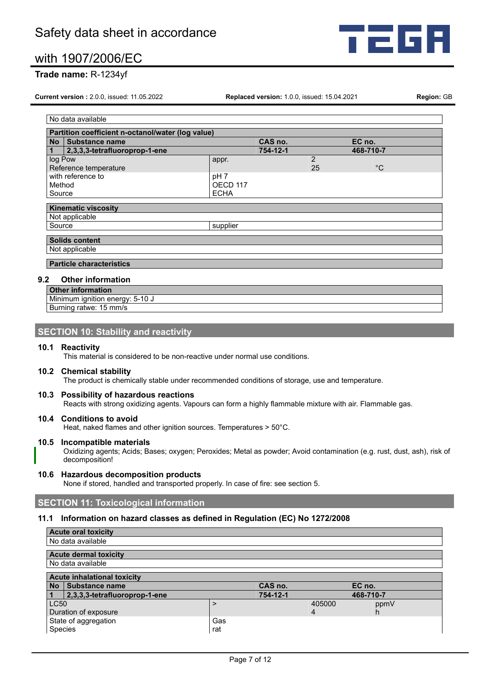

# **Trade name:** R-1234yf

**Current version :** 2.0.0, issued: 11.05.2022 **Replaced version:** 1.0.0, issued: 15.04.2021 **Region:** GB

No data available **Partition coefficient n-octanol/water (log value) No Substance name CAS no. EC no. 1 2,3,3,3-tetrafluoroprop-1-ene 754-12-1 1 468-12-1 1 468-12-1 1 468-12-1 1 468-12-1 1 468-12-1 1 468-12-1 1 468-12-1 1 468-12-1 1 468-12-1 1 468-12-1 1 468-12-12-12-12-12-1** log Pow appr. 2 Reference temperature 25 and 25 °C with reference to  $pH$  7<br>Method  $OEC$ OECD 117 Source ECHA **Kinematic viscosity** Not applicable Source supplier **Solids content** Not applicable **Particle characteristics**

# **9.2 Other information**

**Other information** Minimum ignition energy: 5-10 J Burning ratwe: 15 mm/s

# **SECTION 10: Stability and reactivity**

#### **10.1 Reactivity**

This material is considered to be non-reactive under normal use conditions.

# **10.2 Chemical stability**

The product is chemically stable under recommended conditions of storage, use and temperature.

#### **10.3 Possibility of hazardous reactions**

Reacts with strong oxidizing agents. Vapours can form a highly flammable mixture with air. Flammable gas.

## **10.4 Conditions to avoid**

Heat, naked flames and other ignition sources. Temperatures > 50°C.

### **10.5 Incompatible materials**

Oxidizing agents; Acids; Bases; oxygen; Peroxides; Metal as powder; Avoid contamination (e.g. rust, dust, ash), risk of decomposition!

#### **10.6 Hazardous decomposition products**

None if stored, handled and transported properly. In case of fire: see section 5.

# **SECTION 11: Toxicological information**

#### **11.1 Information on hazard classes as defined in Regulation (EC) No 1272/2008**

|                                    | <b>Acute oral toxicity</b>    |     |          |        |           |
|------------------------------------|-------------------------------|-----|----------|--------|-----------|
|                                    | No data available             |     |          |        |           |
|                                    | <b>Acute dermal toxicity</b>  |     |          |        |           |
|                                    | No data available             |     |          |        |           |
| <b>Acute inhalational toxicity</b> |                               |     |          |        |           |
| <b>No</b>                          | Substance name                |     | CAS no.  |        | EC no.    |
|                                    | 2,3,3,3-tetrafluoroprop-1-ene |     | 754-12-1 |        | 468-710-7 |
| <b>LC50</b>                        |                               |     |          | 405000 | ppmV      |
|                                    | Duration of exposure          |     |          | 4      | h.        |
|                                    | State of aggregation          | Gas |          |        |           |
| Species                            |                               | rat |          |        |           |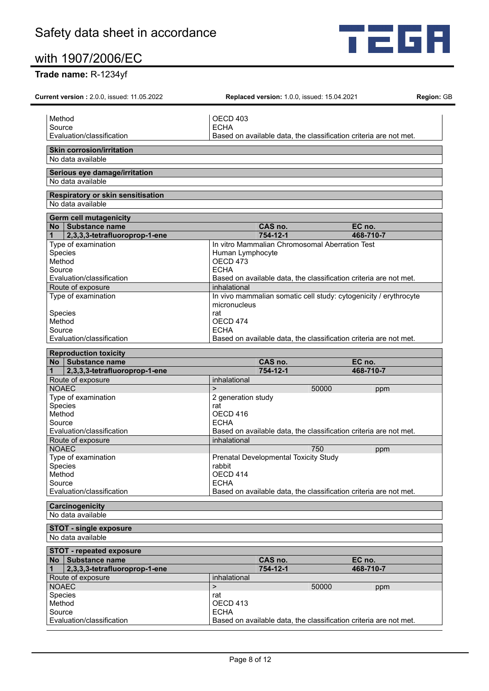

# **Trade name:** R-1234yf

| <b>Current version: 2.0.0, issued: 11.05.2022</b>                                                                                                                              | <b>Replaced version: 1.0.0, issued: 15.04.2021</b>                               | Region: GE |
|--------------------------------------------------------------------------------------------------------------------------------------------------------------------------------|----------------------------------------------------------------------------------|------------|
|                                                                                                                                                                                |                                                                                  |            |
| Method                                                                                                                                                                         | OECD 403                                                                         |            |
| Source                                                                                                                                                                         | <b>ECHA</b>                                                                      |            |
| Evaluation/classification                                                                                                                                                      | Based on available data, the classification criteria are not met.                |            |
| <b>Skin corrosion/irritation</b><br>No data available                                                                                                                          |                                                                                  |            |
|                                                                                                                                                                                |                                                                                  |            |
| Serious eye damage/irritation<br>No data available                                                                                                                             |                                                                                  |            |
| Respiratory or skin sensitisation                                                                                                                                              |                                                                                  |            |
| No data available                                                                                                                                                              |                                                                                  |            |
| <b>Germ cell mutagenicity</b><br>No Substance name                                                                                                                             | CAS no.<br>EC no.                                                                |            |
| 2,3,3,3-tetrafluoroprop-1-ene                                                                                                                                                  | 754-12-1<br>468-710-7                                                            |            |
| Type of examination                                                                                                                                                            | In vitro Mammalian Chromosomal Aberration Test                                   |            |
| Species                                                                                                                                                                        | Human Lymphocyte                                                                 |            |
| Method                                                                                                                                                                         | OECD 473                                                                         |            |
| Source                                                                                                                                                                         | <b>FCHA</b>                                                                      |            |
| Evaluation/classification                                                                                                                                                      | Based on available data, the classification criteria are not met.                |            |
|                                                                                                                                                                                | inhalational                                                                     |            |
| Route of exposure                                                                                                                                                              |                                                                                  |            |
| Type of examination                                                                                                                                                            | In vivo mammalian somatic cell study: cytogenicity / erythrocyte<br>micronucleus |            |
| Species                                                                                                                                                                        | rat                                                                              |            |
| Method                                                                                                                                                                         | OECD 474                                                                         |            |
| Source                                                                                                                                                                         | <b>ECHA</b>                                                                      |            |
| Evaluation/classification                                                                                                                                                      | Based on available data, the classification criteria are not met.                |            |
| <b>Reproduction toxicity</b>                                                                                                                                                   |                                                                                  |            |
| No Substance name                                                                                                                                                              | CAS no.<br>EC no.                                                                |            |
| 2,3,3,3-tetrafluoroprop-1-ene                                                                                                                                                  | 754-12-1<br>468-710-7                                                            |            |
| Route of exposure                                                                                                                                                              | inhalational                                                                     |            |
| <b>NOAEC</b>                                                                                                                                                                   | $\geq$<br>50000<br>ppm                                                           |            |
| Type of examination                                                                                                                                                            | 2 generation study                                                               |            |
| Species                                                                                                                                                                        | rat                                                                              |            |
| Method                                                                                                                                                                         | OECD 416                                                                         |            |
| Source                                                                                                                                                                         | <b>ECHA</b>                                                                      |            |
| Evaluation/classification                                                                                                                                                      | Based on available data, the classification criteria are not met.                |            |
| Route of exposure                                                                                                                                                              | inhalational                                                                     |            |
| <b>NOAEC</b>                                                                                                                                                                   | 750<br>ppm                                                                       |            |
| Type of examination                                                                                                                                                            | Prenatal Developmental Toxicity Study                                            |            |
| Species                                                                                                                                                                        | rabbit                                                                           |            |
| Method                                                                                                                                                                         | OECD 414                                                                         |            |
| Source                                                                                                                                                                         | <b>ECHA</b>                                                                      |            |
|                                                                                                                                                                                |                                                                                  |            |
|                                                                                                                                                                                |                                                                                  |            |
|                                                                                                                                                                                | Based on available data, the classification criteria are not met.                |            |
| Evaluation/classification<br><b>Carcinogenicity</b><br>No data available                                                                                                       |                                                                                  |            |
|                                                                                                                                                                                |                                                                                  |            |
|                                                                                                                                                                                |                                                                                  |            |
|                                                                                                                                                                                |                                                                                  |            |
|                                                                                                                                                                                | CAS no.<br>EC no.                                                                |            |
| 2,3,3,3-tetrafluoroprop-1-ene                                                                                                                                                  | 754-12-1<br>468-710-7                                                            |            |
|                                                                                                                                                                                | inhalational                                                                     |            |
|                                                                                                                                                                                | $\mathbf{I}$<br>50000<br>ppm                                                     |            |
|                                                                                                                                                                                | rat                                                                              |            |
|                                                                                                                                                                                | OECD 413                                                                         |            |
| <b>STOT - single exposure</b><br>No data available<br><b>STOT - repeated exposure</b><br>No Substance name<br>Route of exposure<br><b>NOAEC</b><br>Species<br>Method<br>Source | <b>ECHA</b>                                                                      |            |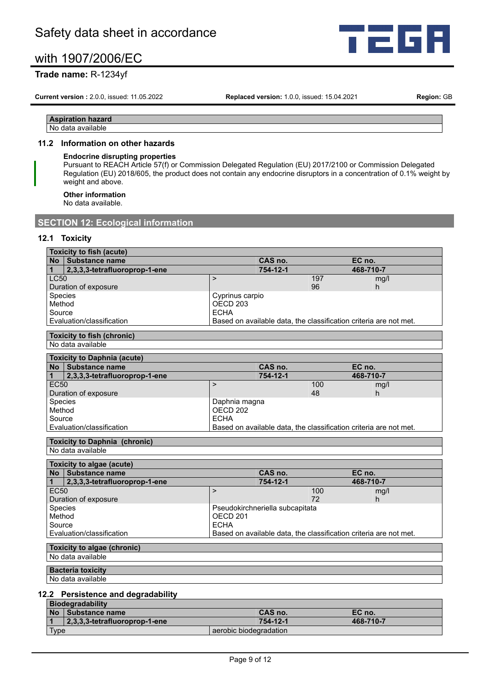

# **Trade name:** R-1234yf

**Current version :** 2.0.0, issued: 11.05.2022 **Replaced version:** 1.0.0, issued: 15.04.2021 **Region:** GB

#### **Aspiration hazard** No data available

## **11.2 Information on other hazards**

## **Endocrine disrupting properties**

Pursuant to REACH Article 57(f) or Commission Delegated Regulation (EU) 2017/2100 or Commission Delegated Regulation (EU) 2018/605, the product does not contain any endocrine disruptors in a concentration of 0.1% weight by weight and above.

**Other information**

No data available.

# **SECTION 12: Ecological information**

# **12.1 Toxicity**

| Toxicity to fish (acute) |                                   |                 |     |                                                                   |
|--------------------------|-----------------------------------|-----------------|-----|-------------------------------------------------------------------|
|                          | No Substance name                 | CAS no.         |     | EC no.                                                            |
|                          | 2,3,3,3-tetrafluoroprop-1-ene     | 754-12-1        |     | 468-710-7                                                         |
| LC50                     |                                   |                 | 197 | mg/l                                                              |
|                          | Duration of exposure              |                 | 96  | h                                                                 |
| <b>Species</b>           |                                   | Cyprinus carpio |     |                                                                   |
| Method                   |                                   | OECD 203        |     |                                                                   |
| Source                   |                                   | <b>ECHA</b>     |     |                                                                   |
|                          | Evaluation/classification         |                 |     | Based on available data, the classification criteria are not met. |
|                          |                                   |                 |     |                                                                   |
|                          | <b>Toxicity to fish (chronic)</b> |                 |     |                                                                   |

No data available

| <b>Toxicity to Daphnia (acute)</b> |                               |               |     |                                                                   |  |
|------------------------------------|-------------------------------|---------------|-----|-------------------------------------------------------------------|--|
| <b>No</b>                          | <b>Substance name</b>         | CAS no.       |     | EC no.                                                            |  |
|                                    | 2,3,3,3-tetrafluoroprop-1-ene | 754-12-1      |     | 468-710-7                                                         |  |
| EC <sub>50</sub>                   |                               |               | 100 | mq/l                                                              |  |
|                                    | Duration of exposure          |               | 48  | h                                                                 |  |
| <b>Species</b>                     |                               | Daphnia magna |     |                                                                   |  |
| Method                             |                               | OECD 202      |     |                                                                   |  |
| Source                             |                               | <b>ECHA</b>   |     |                                                                   |  |
|                                    | Evaluation/classification     |               |     | Based on available data, the classification criteria are not met. |  |

# **Toxicity to Daphnia (chronic)**

No data available

|                  | Toxicity to algae (acute)                                                                                                                                                                                                         |                                 |                                                                   |           |  |
|------------------|-----------------------------------------------------------------------------------------------------------------------------------------------------------------------------------------------------------------------------------|---------------------------------|-------------------------------------------------------------------|-----------|--|
|                  | No Substance name                                                                                                                                                                                                                 | CAS no.                         |                                                                   | EC no.    |  |
|                  | 2,3,3,3-tetrafluoroprop-1-ene                                                                                                                                                                                                     | 754-12-1                        |                                                                   | 468-710-7 |  |
| EC <sub>50</sub> |                                                                                                                                                                                                                                   |                                 | 100                                                               | mg/l      |  |
|                  | Duration of exposure                                                                                                                                                                                                              |                                 | 72                                                                | h         |  |
| Species          |                                                                                                                                                                                                                                   | Pseudokirchneriella subcapitata |                                                                   |           |  |
| Method           |                                                                                                                                                                                                                                   | OECD <sub>201</sub>             |                                                                   |           |  |
| Source           |                                                                                                                                                                                                                                   | <b>ECHA</b>                     |                                                                   |           |  |
|                  | Evaluation/classification                                                                                                                                                                                                         |                                 | Based on available data, the classification criteria are not met. |           |  |
|                  |                                                                                                                                                                                                                                   |                                 |                                                                   |           |  |
|                  | $\frac{1}{2}$ . The state of the state of the state of the state of the state of the state of the state of the state of the state of the state of the state of the state of the state of the state of the state of the state of t |                                 |                                                                   |           |  |

#### **Toxicity to algae (chronic)** No data available

**Bacteria toxicity**

No data available

# **12.2 Persistence and degradability**

| <b>Biodegradability</b> |                                   |                        |           |  |
|-------------------------|-----------------------------------|------------------------|-----------|--|
|                         | No Substance name                 | CAS no.                | EC no.    |  |
|                         | $ 2,3,3,3$ -tetrafluoroprop-1-ene | 754-12-1               | 468-710-7 |  |
| Type                    |                                   | aerobic biodegradation |           |  |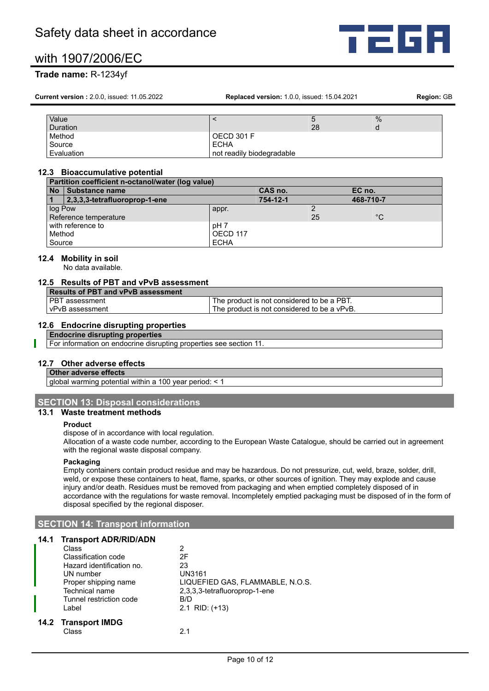# **Trade name:** R-1234yf

**Current version :** 2.0.0, issued: 11.05.2022 **Replaced version:** 1.0.0, issued: 15.04.2021 **Region:** GB

| Value      |                           | ວ  | $\%$ |
|------------|---------------------------|----|------|
| Duration   |                           | 28 | d    |
| Method     | OECD 301 F                |    |      |
| Source     | <b>ECHA</b>               |    |      |
| Evaluation | not readily biodegradable |    |      |

#### **12.3 Bioaccumulative potential**

|                   | Partition coefficient n-octanol/water (log value) |             |          |    |              |
|-------------------|---------------------------------------------------|-------------|----------|----|--------------|
| <b>No</b>         | Substance name                                    |             | CAS no.  |    | EC no.       |
|                   | 2,3,3,3-tetrafluoroprop-1-ene                     |             | 754-12-1 |    | 468-710-7    |
| log Pow           |                                                   | appr.       |          |    |              |
|                   | Reference temperature                             |             |          | 25 | $^{\circ}$ C |
| with reference to |                                                   | pH 7        |          |    |              |
| Method            |                                                   | OECD 117    |          |    |              |
| Source            |                                                   | <b>ECHA</b> |          |    |              |

#### **12.4 Mobility in soil**

No data available.

## **12.5 Results of PBT and vPvB assessment**

| <b>Results of PBT and vPvB assessment</b> |                                             |
|-------------------------------------------|---------------------------------------------|
| l PBT assessment                          | The product is not considered to be a PBT.  |
| vPvB assessment                           | The product is not considered to be a vPvB. |

#### **12.6 Endocrine disrupting properties**

**Endocrine disrupting properties**

For information on endocrine disrupting properties see section 11.

## **12.7 Other adverse effects**

## **Other adverse effects**

global warming potential within a 100 year period: < 1

# **SECTION 13: Disposal considerations**

## **13.1 Waste treatment methods**

#### **Product**

dispose of in accordance with local regulation.

Allocation of a waste code number, according to the European Waste Catalogue, should be carried out in agreement with the regional waste disposal company.

#### **Packaging**

Empty containers contain product residue and may be hazardous. Do not pressurize, cut, weld, braze, solder, drill, weld, or expose these containers to heat, flame, sparks, or other sources of ignition. They may explode and cause injury and/or death. Residues must be removed from packaging and when emptied completely disposed of in accordance with the regulations for waste removal. Incompletely emptied packaging must be disposed of in the form of disposal specified by the regional disposer.

# **SECTION 14: Transport information**

#### **14.1 Transport ADR/RID/ADN**

| Class                     | 2                                |
|---------------------------|----------------------------------|
| Classification code       | 2F                               |
| Hazard identification no. | 23                               |
| UN number                 | <b>UN3161</b>                    |
| Proper shipping name      | LIQUEFIED GAS, FLAMMABLE, N.O.S. |
| <b>Technical name</b>     | 2,3,3,3-tetrafluoroprop-1-ene    |
| Tunnel restriction code   | B/D                              |
| Label                     | $2.1$ RID: $(+13)$               |
| 14.2 Transport IMDG       |                                  |
| Class                     |                                  |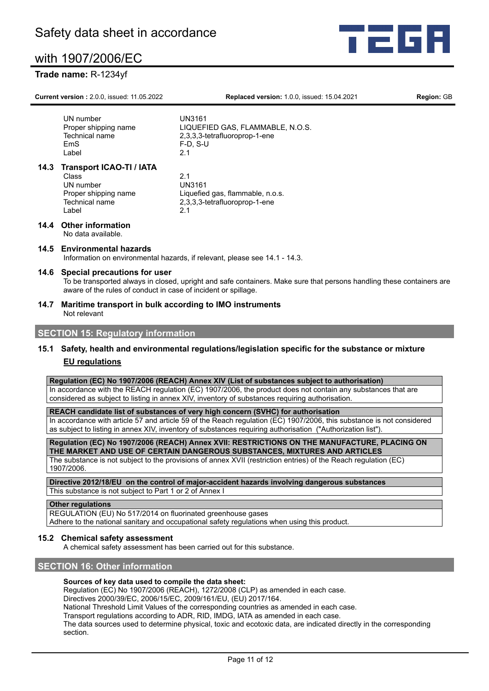# **Trade name:** R-1234yf

**Current version :** 2.0.0, issued: 11.05.2022 **Replaced version:** 1.0.0, issued: 15.04.2021 **Region:** GB

ta d

UN number UN3161<br>Proper shipping name LIQUEF LIQUEFIED GAS, FLAMMABLE, N.O.S. Technical name 2,3,3,3-tetrafluoroprop-1-ene EmS F-D, S-U Label 2.1 **14.3 Transport ICAO-TI / IATA** Class 2.1 UN number

Label

Proper shipping name Liquefied gas, flammable, n.o.s.<br>Technical name 2.3.3.3-tetrafluoroprop-1-ene  $2,3,3,3$ -tetrafluoroprop-1-ene<br>2 1

#### **14.4 Other information** No data available.

# **14.5 Environmental hazards**

Information on environmental hazards, if relevant, please see 14.1 - 14.3.

#### **14.6 Special precautions for user**

To be transported always in closed, upright and safe containers. Make sure that persons handling these containers are aware of the rules of conduct in case of incident or spillage.

**14.7 Maritime transport in bulk according to IMO instruments** Not relevant

# **SECTION 15: Regulatory information**

# **15.1 Safety, health and environmental regulations/legislation specific for the substance or mixture EU regulations**

**Regulation (EC) No 1907/2006 (REACH) Annex XIV (List of substances subject to authorisation)**

In accordance with the REACH regulation (EC) 1907/2006, the product does not contain any substances that are considered as subject to listing in annex XIV, inventory of substances requiring authorisation.

**REACH candidate list of substances of very high concern (SVHC) for authorisation**

In accordance with article 57 and article 59 of the Reach regulation (EC) 1907/2006, this substance is not considered as subject to listing in annex XIV, inventory of substances requiring authorisation ("Authorization list")

**Regulation (EC) No 1907/2006 (REACH) Annex XVII: RESTRICTIONS ON THE MANUFACTURE, PLACING ON THE MARKET AND USE OF CERTAIN DANGEROUS SUBSTANCES, MIXTURES AND ARTICLES** The substance is not subject to the provisions of annex XVII (restriction entries) of the Reach regulation (EC)

1907/2006.

**Directive 2012/18/EU on the control of major-accident hazards involving dangerous substances** This substance is not subject to Part 1 or 2 of Annex I

#### **Other regulations**

REGULATION (EU) No 517/2014 on fluorinated greenhouse gases

Adhere to the national sanitary and occupational safety regulations when using this product.

#### **15.2 Chemical safety assessment**

A chemical safety assessment has been carried out for this substance.

## **SECTION 16: Other information**

#### **Sources of key data used to compile the data sheet:**

Regulation (EC) No 1907/2006 (REACH), 1272/2008 (CLP) as amended in each case.

Directives 2000/39/EC, 2006/15/EC, 2009/161/EU, (EU) 2017/164.

National Threshold Limit Values of the corresponding countries as amended in each case.

Transport regulations according to ADR, RID, IMDG, IATA as amended in each case.

The data sources used to determine physical, toxic and ecotoxic data, are indicated directly in the corresponding section.